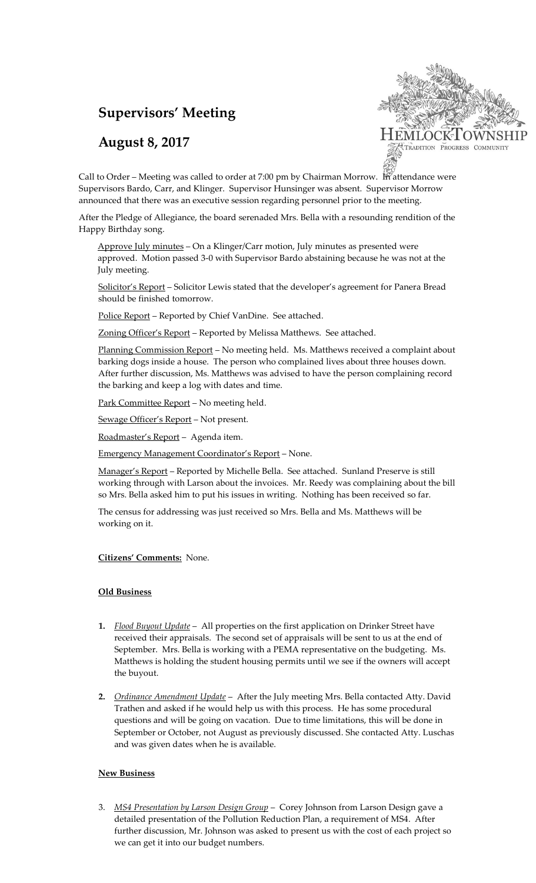# **Supervisors' Meeting**

## **August 8, 2017**



Call to Order – Meeting was called to order at 7:00 pm by Chairman Morrow. In attendance were Supervisors Bardo, Carr, and Klinger. Supervisor Hunsinger was absent. Supervisor Morrow announced that there was an executive session regarding personnel prior to the meeting.

After the Pledge of Allegiance, the board serenaded Mrs. Bella with a resounding rendition of the Happy Birthday song.

Approve July minutes – On a Klinger/Carr motion, July minutes as presented were approved. Motion passed 3-0 with Supervisor Bardo abstaining because he was not at the July meeting.

Solicitor's Report - Solicitor Lewis stated that the developer's agreement for Panera Bread should be finished tomorrow.

Police Report – Reported by Chief VanDine. See attached.

Zoning Officer's Report – Reported by Melissa Matthews. See attached.

Planning Commission Report – No meeting held. Ms. Matthews received a complaint about barking dogs inside a house. The person who complained lives about three houses down. After further discussion, Ms. Matthews was advised to have the person complaining record the barking and keep a log with dates and time.

Park Committee Report – No meeting held.

Sewage Officer's Report - Not present.

Roadmaster's Report – Agenda item.

Emergency Management Coordinator's Report – None.

Manager's Report - Reported by Michelle Bella. See attached. Sunland Preserve is still working through with Larson about the invoices. Mr. Reedy was complaining about the bill so Mrs. Bella asked him to put his issues in writing. Nothing has been received so far.

The census for addressing was just received so Mrs. Bella and Ms. Matthews will be working on it.

#### **Citizens' Comments:** None.

#### **Old Business**

- **1.** *Flood Buyout Update* All properties on the first application on Drinker Street have received their appraisals. The second set of appraisals will be sent to us at the end of September. Mrs. Bella is working with a PEMA representative on the budgeting. Ms. Matthews is holding the student housing permits until we see if the owners will accept the buyout.
- **2.** *Ordinance Amendment Update* After the July meeting Mrs. Bella contacted Atty. David Trathen and asked if he would help us with this process. He has some procedural questions and will be going on vacation. Due to time limitations, this will be done in September or October, not August as previously discussed. She contacted Atty. Luschas and was given dates when he is available.

#### **New Business**

3. *MS4 Presentation by Larson Design Group* – Corey Johnson from Larson Design gave a detailed presentation of the Pollution Reduction Plan, a requirement of MS4. After further discussion, Mr. Johnson was asked to present us with the cost of each project so we can get it into our budget numbers.